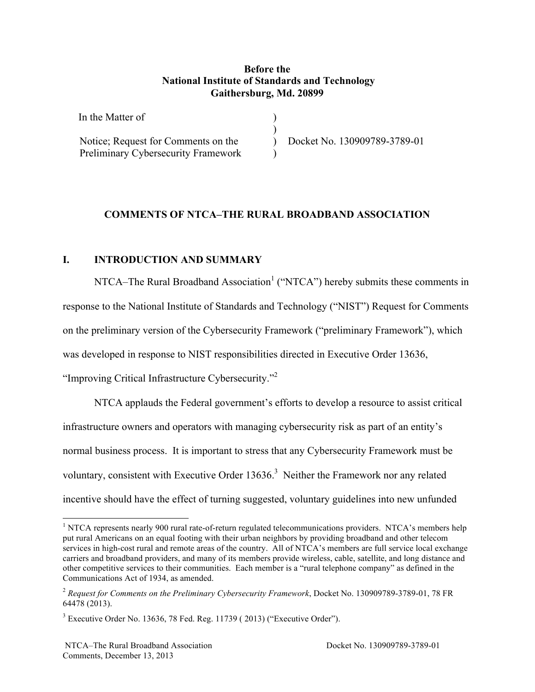### **Before the National Institute of Standards and Technology Gaithersburg, Md. 20899**

| In the Matter of                    |                              |
|-------------------------------------|------------------------------|
|                                     |                              |
| Notice; Request for Comments on the | Docket No. 130909789-3789-01 |
| Preliminary Cybersecurity Framework |                              |

# **COMMENTS OF NTCA–THE RURAL BROADBAND ASSOCIATION<br>I. INTRODUCTION AND SUMMARY**

"Improving Critical Infrastructure Cybersecurity."<sup>2</sup> NTCA–The Rural Broadband Association<sup>1</sup> ("NTCA") hereby submits these comments in response to the National Institute of Standards and Technology ("NIST") Request for Comments on the preliminary version of the Cybersecurity Framework ("preliminary Framework"), which was developed in response to NIST responsibilities directed in Executive Order 13636,

 NTCA applauds the Federal government's efforts to develop a resource to assist critical voluntary, consistent with Executive Order  $13636$ <sup>3</sup> Neither the Framework nor any related incentive should have the effect of turning suggested, voluntary guidelines into new unfunded infrastructure owners and operators with managing cybersecurity risk as part of an entity's normal business process. It is important to stress that any Cybersecurity Framework must be

 $1$  NTCA represents nearly 900 rural rate-of-return regulated telecommunications providers. NTCA's members help put rural Americans on an equal footing with their urban neighbors by providing broadband and other telecom services in high-cost rural and remote areas of the country. All of NTCA's members are full service local exchange carriers and broadband providers, and many of its members provide wireless, cable, satellite, and long distance and other competitive services to their communities. Each member is a "rural telephone company" as defined in the Communications Act of 1934, as amended.

 <sup>2</sup>*Request for Comments on the Preliminary Cybersecurity Framework*, Docket No. 130909789-3789-01, 78 FR 64478 (2013).

 $3$  Executive Order No. 13636, 78 Fed. Reg. 11739 (2013) ("Executive Order").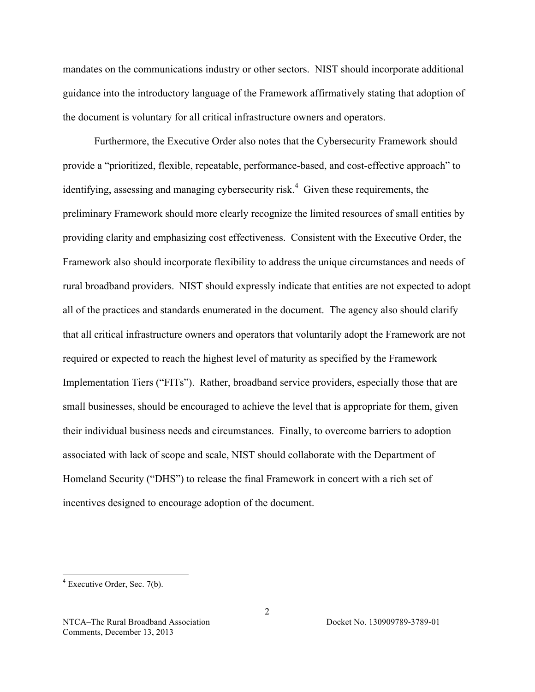mandates on the communications industry or other sectors. NIST should incorporate additional guidance into the introductory language of the Framework affirmatively stating that adoption of the document is voluntary for all critical infrastructure owners and operators.

identifying, assessing and managing cybersecurity risk.<sup>4</sup> Given these requirements, the providing clarity and emphasizing cost effectiveness. Consistent with the Executive Order, the that all critical infrastructure owners and operators that voluntarily adopt the Framework are not Implementation Tiers ("FITs"). Rather, broadband service providers, especially those that are **incentives designed to encourage adoption of the document.**<br>  $\frac{4}{3}$  Executive Order, Sec. 7(b). Furthermore, the Executive Order also notes that the Cybersecurity Framework should provide a "prioritized, flexible, repeatable, performance-based, and cost-effective approach" to preliminary Framework should more clearly recognize the limited resources of small entities by Framework also should incorporate flexibility to address the unique circumstances and needs of rural broadband providers. NIST should expressly indicate that entities are not expected to adopt all of the practices and standards enumerated in the document. The agency also should clarify required or expected to reach the highest level of maturity as specified by the Framework small businesses, should be encouraged to achieve the level that is appropriate for them, given their individual business needs and circumstances. Finally, to overcome barriers to adoption associated with lack of scope and scale, NIST should collaborate with the Department of Homeland Security ("DHS") to release the final Framework in concert with a rich set of

2

 $4$  Executive Order, Sec. 7(b).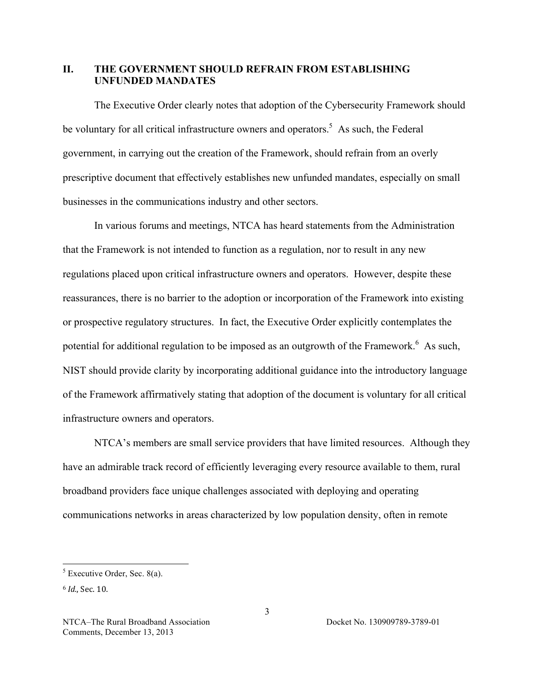### **II. THE GOVERNMENT SHOULD REFRAIN FROM ESTABLISHING UNFUNDED MANDATES**

be voluntary for all critical infrastructure owners and operators.<sup>5</sup> As such, the Federal prescriptive document that effectively establishes new unfunded mandates, especially on small businesses in the communications industry and other sectors. The Executive Order clearly notes that adoption of the Cybersecurity Framework should government, in carrying out the creation of the Framework, should refrain from an overly

 or prospective regulatory structures. In fact, the Executive Order explicitly contemplates the potential for additional regulation to be imposed as an outgrowth of the Framework.<sup>6</sup> As such, In various forums and meetings, NTCA has heard statements from the Administration that the Framework is not intended to function as a regulation, nor to result in any new regulations placed upon critical infrastructure owners and operators. However, despite these reassurances, there is no barrier to the adoption or incorporation of the Framework into existing NIST should provide clarity by incorporating additional guidance into the introductory language of the Framework affirmatively stating that adoption of the document is voluntary for all critical infrastructure owners and operators.

 NTCA's members are small service providers that have limited resources. Although they have an admirable track record of efficiently leveraging every resource available to them, rural broadband providers face unique challenges associated with deploying and operating communications networks in areas characterized by low population density, often in remote

 $<sup>5</sup>$  Executive Order, Sec. 8(a).</sup>

<sup>6</sup> *Id.*, Sec. 10.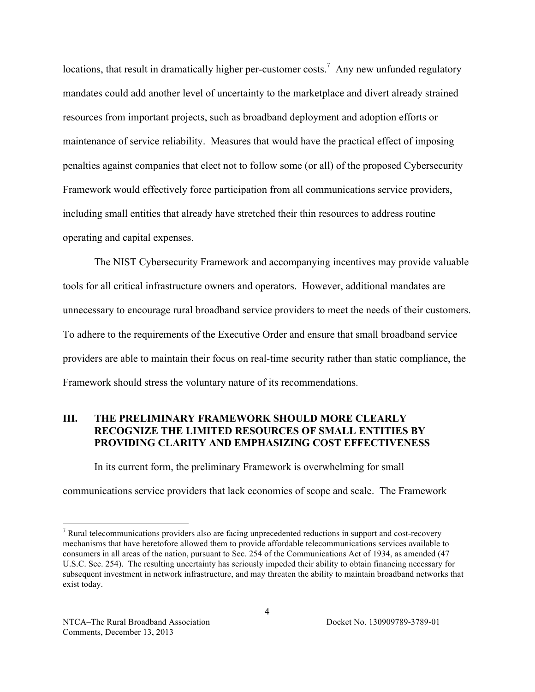locations, that result in dramatically higher per-customer costs.<sup>7</sup> Any new unfunded regulatory maintenance of service reliability. Measures that would have the practical effect of imposing mandates could add another level of uncertainty to the marketplace and divert already strained resources from important projects, such as broadband deployment and adoption efforts or penalties against companies that elect not to follow some (or all) of the proposed Cybersecurity Framework would effectively force participation from all communications service providers, including small entities that already have stretched their thin resources to address routine operating and capital expenses.

 The NIST Cybersecurity Framework and accompanying incentives may provide valuable unnecessary to encourage rural broadband service providers to meet the needs of their customers. tools for all critical infrastructure owners and operators. However, additional mandates are To adhere to the requirements of the Executive Order and ensure that small broadband service providers are able to maintain their focus on real-time security rather than static compliance, the Framework should stress the voluntary nature of its recommendations.

### **RECOGNIZE THE LIMITED RESOURCES OF SMALL ENTITIES BY PROVIDING CLARITY AND EMPHASIZING COST EFFECTIVENESS III. THE PRELIMINARY FRAMEWORK SHOULD MORE CLEARLY**

In its current form, the preliminary Framework is overwhelming for small

communications service providers that lack economies of scope and scale. The Framework

 $<sup>7</sup>$  Rural telecommunications providers also are facing unprecedented reductions in support and cost-recovery</sup> mechanisms that have heretofore allowed them to provide affordable telecommunications services available to consumers in all areas of the nation, pursuant to Sec. 254 of the Communications Act of 1934, as amended (47 U.S.C. Sec. 254). The resulting uncertainty has seriously impeded their ability to obtain financing necessary for subsequent investment in network infrastructure, and may threaten the ability to maintain broadband networks that exist today.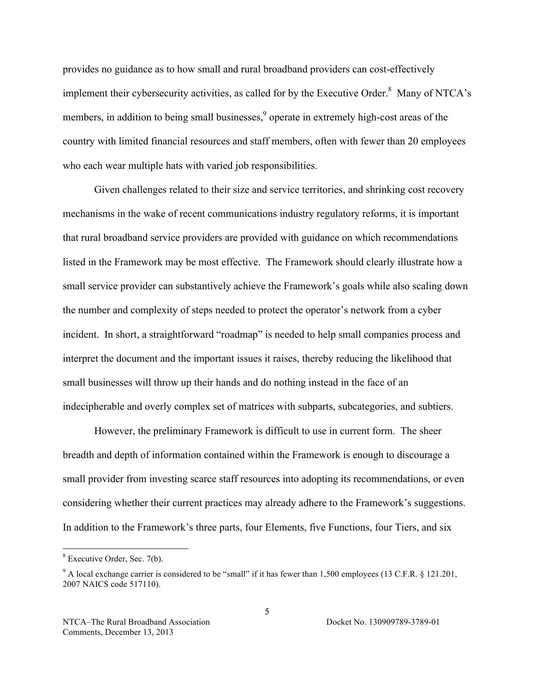provides no guidance as to how small and rural broadband providers can cost-effectively implement their cybersecurity activities, as called for by the Executive Order. $8$  Many of NTCA's members, in addition to being small businesses,<sup>9</sup> operate in extremely high-cost areas of the country with limited financial resources and staff members, often with fewer than 20 employees who each wear multiple hats with varied job responsibilities.

 that rural broadband service providers are provided with guidance on which recommendations the number and complexity of steps needed to protect the operator's network from a cyber Given challenges related to their size and service territories, and shrinking cost recovery mechanisms in the wake of recent communications industry regulatory reforms, it is important listed in the Framework may be most effective. The Framework should clearly illustrate how a small service provider can substantively achieve the Framework's goals while also scaling down incident. In short, a straightforward "roadmap" is needed to help small companies process and interpret the document and the important issues it raises, thereby reducing the likelihood that small businesses will throw up their hands and do nothing instead in the face of an indecipherable and overly complex set of matrices with subparts, subcategories, and subtiers.

 However, the preliminary Framework is difficult to use in current form. The sheer breadth and depth of information contained within the Framework is enough to discourage a small provider from investing scarce staff resources into adopting its recommendations, or even considering whether their current practices may already adhere to the Framework's suggestions. In addition to the Framework's three parts, four Elements, five Functions, four Tiers, and six

 $8$  Executive Order, Sec. 7(b).

 $9$  A local exchange carrier is considered to be "small" if it has fewer than 1,500 employees (13 C.F.R. § 121.201, 2007 NAICS code 517110).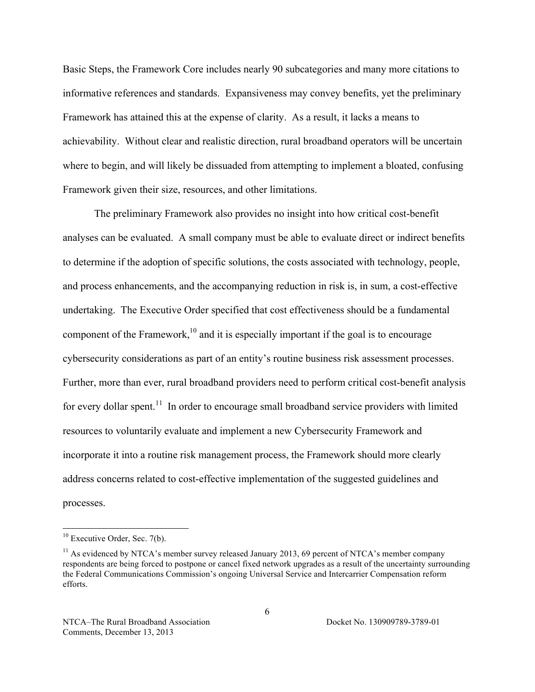Basic Steps, the Framework Core includes nearly 90 subcategories and many more citations to Framework has attained this at the expense of clarity. As a result, it lacks a means to informative references and standards. Expansiveness may convey benefits, yet the preliminary achievability. Without clear and realistic direction, rural broadband operators will be uncertain where to begin, and will likely be dissuaded from attempting to implement a bloated, confusing Framework given their size, resources, and other limitations.

component of the Framework,<sup>10</sup> and it is especially important if the goal is to encourage cybersecurity considerations as part of an entity's routine business risk assessment processes. Further, more than ever, rural broadband providers need to perform critical cost-benefit analysis for every dollar spent.<sup>11</sup> In order to encourage small broadband service providers with limited The preliminary Framework also provides no insight into how critical cost-benefit analyses can be evaluated. A small company must be able to evaluate direct or indirect benefits to determine if the adoption of specific solutions, the costs associated with technology, people, and process enhancements, and the accompanying reduction in risk is, in sum, a cost-effective undertaking. The Executive Order specified that cost effectiveness should be a fundamental resources to voluntarily evaluate and implement a new Cybersecurity Framework and incorporate it into a routine risk management process, the Framework should more clearly address concerns related to cost-effective implementation of the suggested guidelines and processes.

 $10$  Executive Order, Sec. 7(b).

 $11$  As evidenced by NTCA's member survey released January 2013, 69 percent of NTCA's member company respondents are being forced to postpone or cancel fixed network upgrades as a result of the uncertainty surrounding the Federal Communications Commission's ongoing Universal Service and Intercarrier Compensation reform efforts.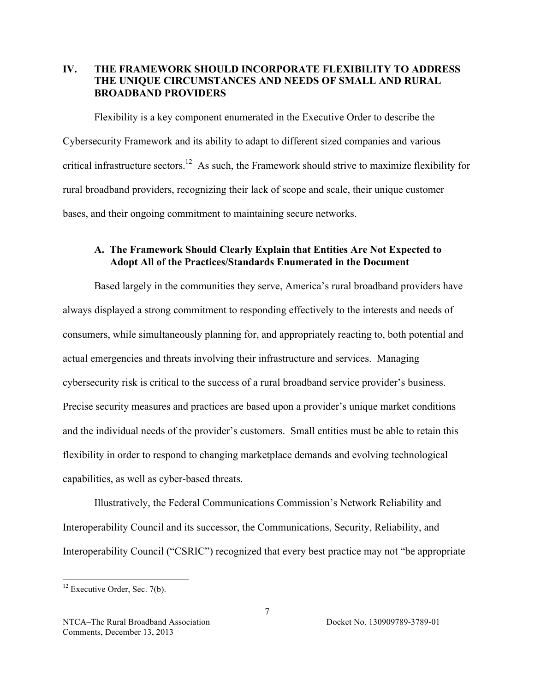### **IV. THE FRAMEWORK SHOULD INCORPORATE FLEXIBILITY TO ADDRESS THE UNIQUE CIRCUMSTANCES AND NEEDS OF SMALL AND RURAL BROADBAND PROVIDERS**

critical infrastructure sectors.<sup>12</sup> As such, the Framework should strive to maximize flexibility for Flexibility is a key component enumerated in the Executive Order to describe the Cybersecurity Framework and its ability to adapt to different sized companies and various rural broadband providers, recognizing their lack of scope and scale, their unique customer bases, and their ongoing commitment to maintaining secure networks.

### **A. The Framework Should Clearly Explain that Entities Are Not Expected to Adopt All of the Practices/Standards Enumerated in the Document**

 actual emergencies and threats involving their infrastructure and services. Managing cybersecurity risk is critical to the success of a rural broadband service provider's business. and the individual needs of the provider's customers. Small entities must be able to retain this Based largely in the communities they serve, America's rural broadband providers have always displayed a strong commitment to responding effectively to the interests and needs of consumers, while simultaneously planning for, and appropriately reacting to, both potential and Precise security measures and practices are based upon a provider's unique market conditions flexibility in order to respond to changing marketplace demands and evolving technological capabilities, as well as cyber-based threats.

Illustratively, the Federal Communications Commission's Network Reliability and Interoperability Council and its successor, the Communications, Security, Reliability, and Interoperability Council ("CSRIC") recognized that every best practice may not "be appropriate

 $12$  Executive Order, Sec. 7(b).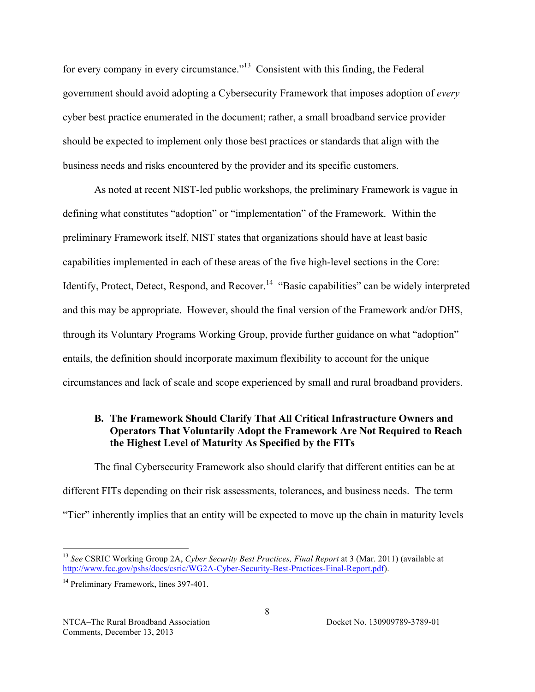for every company in every circumstance."<sup>13</sup> Consistent with this finding, the Federal government should avoid adopting a Cybersecurity Framework that imposes adoption of *every*  should be expected to implement only those best practices or standards that align with the business needs and risks encountered by the provider and its specific customers. cyber best practice enumerated in the document; rather, a small broadband service provider

 defining what constitutes "adoption" or "implementation" of the Framework. Within the Identify, Protect, Detect, Respond, and Recover.<sup>14</sup> "Basic capabilities" can be widely interpreted and this may be appropriate. However, should the final version of the Framework and/or DHS, As noted at recent NIST-led public workshops, the preliminary Framework is vague in preliminary Framework itself, NIST states that organizations should have at least basic capabilities implemented in each of these areas of the five high-level sections in the Core: through its Voluntary Programs Working Group, provide further guidance on what "adoption" entails, the definition should incorporate maximum flexibility to account for the unique circumstances and lack of scale and scope experienced by small and rural broadband providers.

# **the Highest Level of Maturity As Specified by the FITs B. The Framework Should Clarify That All Critical Infrastructure Owners and Operators That Voluntarily Adopt the Framework Are Not Required to Reach**

 different FITs depending on their risk assessments, tolerances, and business needs. The term The final Cybersecurity Framework also should clarify that different entities can be at "Tier" inherently implies that an entity will be expected to move up the chain in maturity levels

 <sup>13</sup>*See* CSRIC Working Group 2A, *Cyber Security Best Practices, Final Report* at 3 (Mar. 2011) (available at http://www.fcc.gov/pshs/docs/csric/WG2A-Cyber-Security-Best-Practices-Final-Report.pdf).

<sup>&</sup>lt;sup>14</sup> Preliminary Framework, lines 397-401.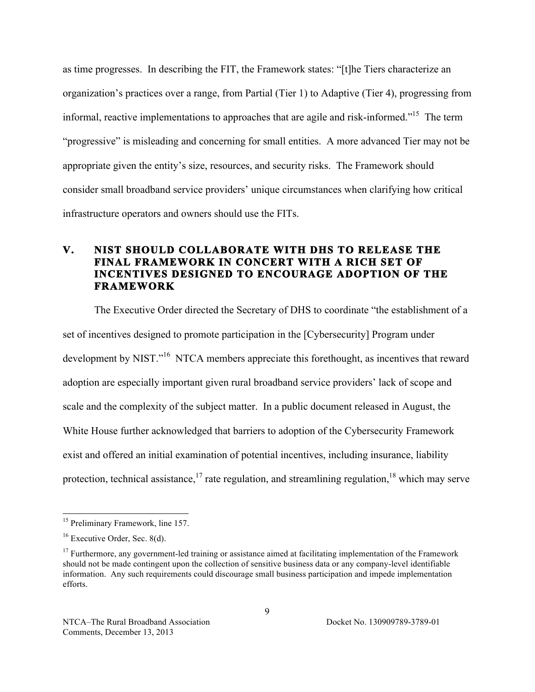informal, reactive implementations to approaches that are agile and risk-informed."<sup>15</sup> The term "progressive" is misleading and concerning for small entities. A more advanced Tier may not be as time progresses. In describing the FIT, the Framework states: "[t]he Tiers characterize an organization's practices over a range, from Partial (Tier 1) to Adaptive (Tier 4), progressing from appropriate given the entity's size, resources, and security risks. The Framework should consider small broadband service providers' unique circumstances when clarifying how critical infrastructure operators and owners should use the FITs.

# **INCENTIVES DESIGNED TO ENCOURAGE ADOPTION OF THE V. NIST SHOULD COLLABORATE WITH DHS TO RELEASE THE FINAL FRAMEWORK IN CONCERT WITH A RICH SET OF FRAMEWORK**

development by NIST."<sup>16</sup> NTCA members appreciate this forethought, as incentives that reward protection, technical assistance,  $17$  rate regulation, and streamlining regulation,  $18$  which may serve The Executive Order directed the Secretary of DHS to coordinate "the establishment of a set of incentives designed to promote participation in the [Cybersecurity] Program under adoption are especially important given rural broadband service providers' lack of scope and scale and the complexity of the subject matter. In a public document released in August, the White House further acknowledged that barriers to adoption of the Cybersecurity Framework exist and offered an initial examination of potential incentives, including insurance, liability

<sup>&</sup>lt;sup>15</sup> Preliminary Framework, line 157.

 $16$  Executive Order, Sec. 8(d).

 $17$  Furthermore, any government-led training or assistance aimed at facilitating implementation of the Framework should not be made contingent upon the collection of sensitive business data or any company-level identifiable information. Any such requirements could discourage small business participation and impede implementation efforts.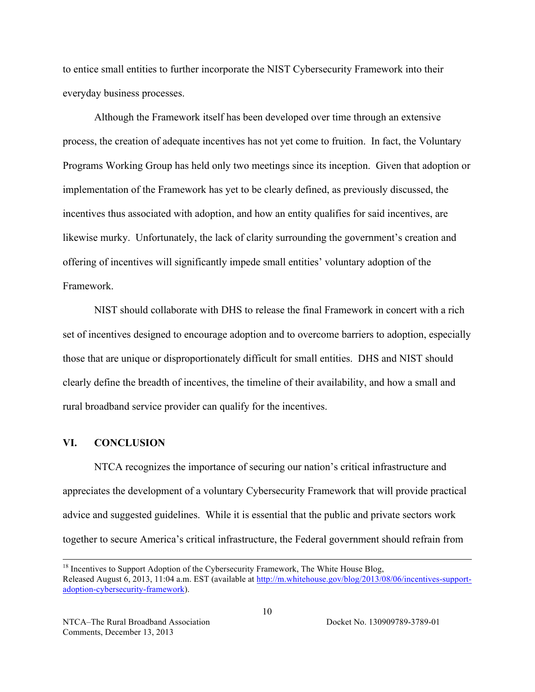to entice small entities to further incorporate the NIST Cybersecurity Framework into their everyday business processes.

 incentives thus associated with adoption, and how an entity qualifies for said incentives, are likewise murky. Unfortunately, the lack of clarity surrounding the government's creation and Framework Although the Framework itself has been developed over time through an extensive process, the creation of adequate incentives has not yet come to fruition. In fact, the Voluntary Programs Working Group has held only two meetings since its inception. Given that adoption or implementation of the Framework has yet to be clearly defined, as previously discussed, the offering of incentives will significantly impede small entities' voluntary adoption of the

NIST should collaborate with DHS to release the final Framework in concert with a rich set of incentives designed to encourage adoption and to overcome barriers to adoption, especially those that are unique or disproportionately difficult for small entities. DHS and NIST should clearly define the breadth of incentives, the timeline of their availability, and how a small and rural broadband service provider can qualify for the incentives.

### **VI. CONCLUSION**

 NTCA recognizes the importance of securing our nation's critical infrastructure and appreciates the development of a voluntary Cybersecurity Framework that will provide practical together to secure America's critical infrastructure, the Federal government should refrain from advice and suggested guidelines. While it is essential that the public and private sectors work

 $18$  Incentives to Support Adoption of the Cybersecurity Framework, The White House Blog, Released August 6, 2013, 11:04 a.m. EST (available at http://m.whitehouse.gov/blog/2013/08/06/incentives-supportadoption-cybersecurity-framework).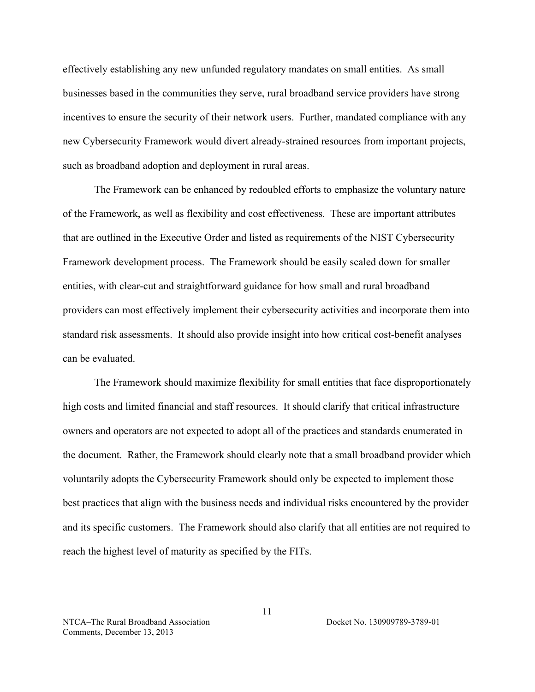effectively establishing any new unfunded regulatory mandates on small entities. As small businesses based in the communities they serve, rural broadband service providers have strong incentives to ensure the security of their network users. Further, mandated compliance with any new Cybersecurity Framework would divert already-strained resources from important projects, such as broadband adoption and deployment in rural areas.

 The Framework can be enhanced by redoubled efforts to emphasize the voluntary nature that are outlined in the Executive Order and listed as requirements of the NIST Cybersecurity of the Framework, as well as flexibility and cost effectiveness. These are important attributes Framework development process. The Framework should be easily scaled down for smaller entities, with clear-cut and straightforward guidance for how small and rural broadband providers can most effectively implement their cybersecurity activities and incorporate them into standard risk assessments. It should also provide insight into how critical cost-benefit analyses can be evaluated.

 high costs and limited financial and staff resources. It should clarify that critical infrastructure and its specific customers. The Framework should also clarify that all entities are not required to The Framework should maximize flexibility for small entities that face disproportionately owners and operators are not expected to adopt all of the practices and standards enumerated in the document. Rather, the Framework should clearly note that a small broadband provider which voluntarily adopts the Cybersecurity Framework should only be expected to implement those best practices that align with the business needs and individual risks encountered by the provider reach the highest level of maturity as specified by the FITs.

NTCA–The Rural Broadband Association Docket No. 130909789-3789-01 Comments, December 13, 2013

11